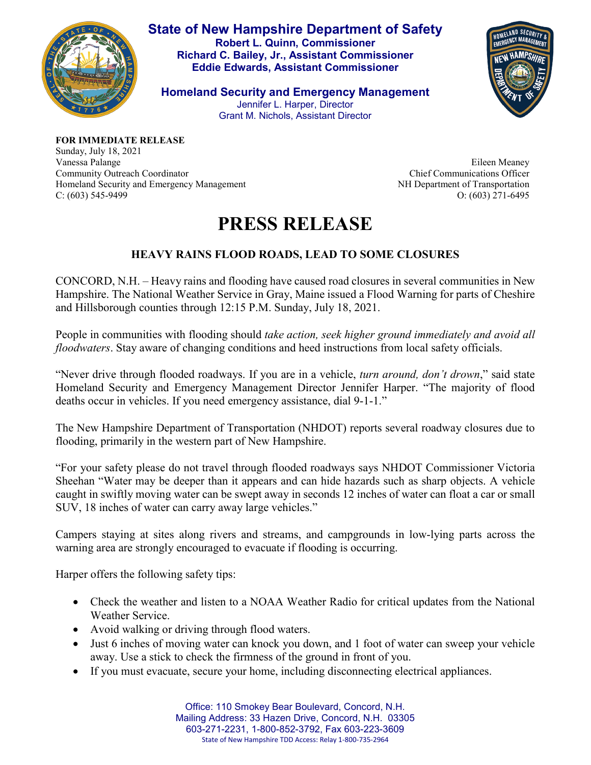

**State of New Hampshire Department of Safety Robert L. Quinn, Commissioner Richard C. Bailey, Jr., Assistant Commissioner Eddie Edwards, Assistant Commissioner**

**Homeland Security and Emergency Management** Jennifer L. Harper, Director Grant M. Nichols, Assistant Director



**FOR IMMEDIATE RELEASE** Sunday, July 18, 2021 Vanessa Palange Community Outreach Coordinator Homeland Security and Emergency Management C: (603) 545-9499

Eileen Meaney Chief Communications Officer NH Department of Transportation O: (603) 271-6495

## **PRESS RELEASE**

## **HEAVY RAINS FLOOD ROADS, LEAD TO SOME CLOSURES**

CONCORD, N.H. – Heavy rains and flooding have caused road closures in several communities in New Hampshire. The National Weather Service in Gray, Maine issued a Flood Warning for parts of Cheshire and Hillsborough counties through 12:15 P.M. Sunday, July 18, 2021.

People in communities with flooding should *take action, seek higher ground immediately and avoid all floodwaters*. Stay aware of changing conditions and heed instructions from local safety officials.

"Never drive through flooded roadways. If you are in a vehicle, *turn around, don't drown*," said state Homeland Security and Emergency Management Director Jennifer Harper. "The majority of flood deaths occur in vehicles. If you need emergency assistance, dial 9-1-1."

The New Hampshire Department of Transportation (NHDOT) reports several roadway closures due to flooding, primarily in the western part of New Hampshire.

"For your safety please do not travel through flooded roadways says NHDOT Commissioner Victoria Sheehan "Water may be deeper than it appears and can hide hazards such as sharp objects. A vehicle caught in swiftly moving water can be swept away in seconds 12 inches of water can float a car or small SUV, 18 inches of water can carry away large vehicles."

Campers staying at sites along rivers and streams, and campgrounds in low-lying parts across the warning area are strongly encouraged to evacuate if flooding is occurring.

Harper offers the following safety tips:

- Check the weather and listen to a NOAA Weather Radio for critical updates from the National Weather Service.
- Avoid walking or driving through flood waters.
- Just 6 inches of moving water can knock you down, and 1 foot of water can sweep your vehicle away. Use a stick to check the firmness of the ground in front of you.
- If you must evacuate, secure your home, including disconnecting electrical appliances.